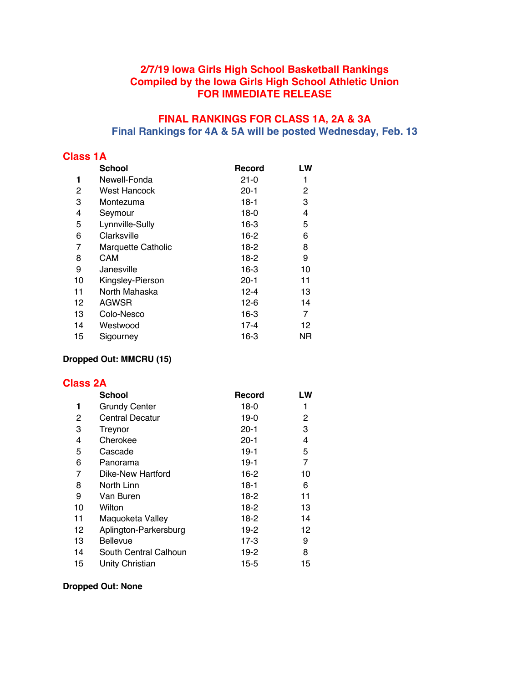## **2/7/19 Iowa Girls High School Basketball Rankings Compiled by the Iowa Girls High School Athletic Union FOR IMMEDIATE RELEASE**

### **FINAL RANKINGS FOR CLASS 1A, 2A & 3A Final Rankings for 4A & 5A will be posted Wednesday, Feb. 13**

#### **Class 1A**

|    | <b>School</b>             | Record   | LW |
|----|---------------------------|----------|----|
| 1  | Newell-Fonda              | $21 - 0$ | 1  |
| 2  | <b>West Hancock</b>       | $20 - 1$ | 2  |
| 3  | Montezuma                 | $18-1$   | 3  |
| 4  | Seymour                   | $18-0$   | 4  |
| 5  | Lynnville-Sully           | $16-3$   | 5  |
| 6  | Clarksville               | $16-2$   | 6  |
| 7  | <b>Marquette Catholic</b> | $18-2$   | 8  |
| 8  | CAM                       | $18-2$   | 9  |
| 9  | Janesville                | $16-3$   | 10 |
| 10 | Kingsley-Pierson          | $20 - 1$ | 11 |
| 11 | North Mahaska             | $12 - 4$ | 13 |
| 12 | <b>AGWSR</b>              | $12 - 6$ | 14 |
| 13 | Colo-Nesco                | $16-3$   | 7  |
| 14 | Westwood                  | $17 - 4$ | 12 |
| 15 | Sigourney                 | $16 - 3$ | ΝR |
|    |                           |          |    |

### **Dropped Out: MMCRU (15)**

#### **Class 2A**

|    | <b>School</b>          | <b>Record</b> | LW |
|----|------------------------|---------------|----|
| 1  | <b>Grundy Center</b>   | $18-0$        | 1  |
| 2  | <b>Central Decatur</b> | $19-0$        | 2  |
| 3  | Treynor                | $20 - 1$      | 3  |
| 4  | Cherokee               | $20 - 1$      | 4  |
| 5  | Cascade                | $19-1$        | 5  |
| 6  | Panorama               | $19-1$        | 7  |
| 7  | Dike-New Hartford      | $16-2$        | 10 |
| 8  | North Linn             | $18-1$        | 6  |
| 9  | Van Buren              | $18-2$        | 11 |
| 10 | Wilton                 | $18-2$        | 13 |
| 11 | Maquoketa Valley       | $18-2$        | 14 |
| 12 | Aplington-Parkersburg  | $19-2$        | 12 |
| 13 | <b>Bellevue</b>        | $17-3$        | 9  |
| 14 | South Central Calhoun  | $19-2$        | 8  |
| 15 | Unity Christian        | $15 - 5$      | 15 |

#### **Dropped Out: None**